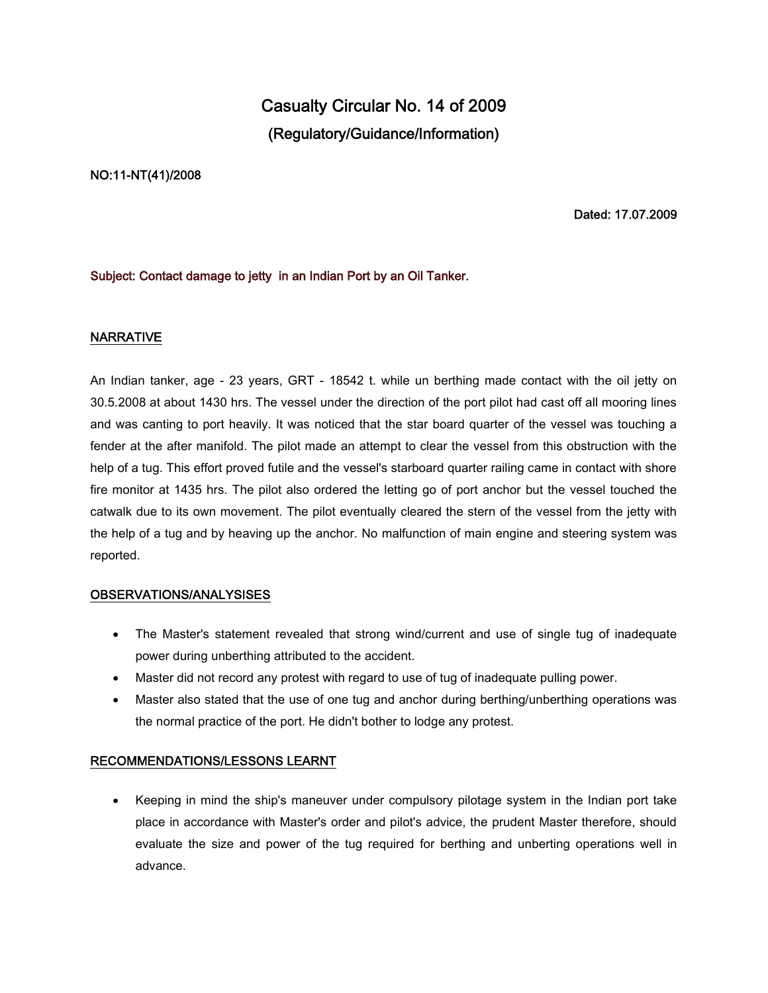# **Casualty Circular No. 14 of 2009 (Regulatory/Guidance/Information)**

## **NO:11-NT(41)/2008**

**Dated: 17.07.2009**

## **Subject: Contact damage to jetty in an Indian Port by an Oil Tanker.**

## **NARRATIVE**

An Indian tanker, age - 23 years, GRT - 18542 t. while un berthing made contact with the oil jetty on 30.5.2008 at about 1430 hrs. The vessel under the direction of the port pilot had cast off all mooring lines and was canting to port heavily. It was noticed that the star board quarter of the vessel was touching a fender at the after manifold. The pilot made an attempt to clear the vessel from this obstruction with the help of a tug. This effort proved futile and the vessel's starboard quarter railing came in contact with shore fire monitor at 1435 hrs. The pilot also ordered the letting go of port anchor but the vessel touched the catwalk due to its own movement. The pilot eventually cleared the stern of the vessel from the jetty with the help of a tug and by heaving up the anchor. No malfunction of main engine and steering system was reported.

#### **OBSERVATIONS/ANALYSISES**

- The Master's statement revealed that strong wind/current and use of single tug of inadequate power during unberthing attributed to the accident.
- Master did not record any protest with regard to use of tug of inadequate pulling power.
- Master also stated that the use of one tug and anchor during berthing/unberthing operations was the normal practice of the port. He didn't bother to lodge any protest.

#### **RECOMMENDATIONS/LESSONS LEARNT**

 Keeping in mind the ship's maneuver under compulsory pilotage system in the Indian port take place in accordance with Master's order and pilot's advice, the prudent Master therefore, should evaluate the size and power of the tug required for berthing and unberting operations well in advance.